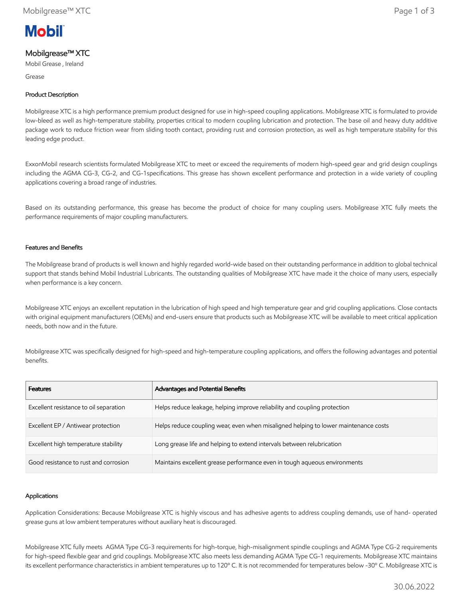

# Mobilgrease™ XTC

Mobil Grease , Ireland

Grease

## Product Description

Mobilgrease XTC is a high performance premium product designed for use in high-speed coupling applications. Mobilgrease XTC is formulated to provide low-bleed as well as high-temperature stability, properties critical to modern coupling lubrication and protection. The base oil and heavy duty additive package work to reduce friction wear from sliding tooth contact, providing rust and corrosion protection, as well as high temperature stability for this leading edge product.

ExxonMobil research scientists formulated Mobilgrease XTC to meet or exceed the requirements of modern high-speed gear and grid design couplings including the AGMA CG-3, CG-2, and CG-1specifications. This grease has shown excellent performance and protection in a wide variety of coupling applications covering a broad range of industries.

Based on its outstanding performance, this grease has become the product of choice for many coupling users. Mobilgrease XTC fully meets the performance requirements of major coupling manufacturers.

#### Features and Benefits

The Mobilgrease brand of products is well known and highly regarded world-wide based on their outstanding performance in addition to global technical support that stands behind Mobil Industrial Lubricants. The outstanding qualities of Mobilgrease XTC have made it the choice of many users, especially when performance is a key concern.

Mobilgrease XTC enjoys an excellent reputation in the lubrication of high speed and high temperature gear and grid coupling applications. Close contacts with original equipment manufacturers (OEMs) and end-users ensure that products such as Mobilgrease XTC will be available to meet critical application needs, both now and in the future.

Mobilgrease XTC was specifically designed for high-speed and high-temperature coupling applications, and offers the following advantages and potential benefits.

| <b>Features</b>                        | Advantages and Potential Benefits                                                   |
|----------------------------------------|-------------------------------------------------------------------------------------|
| Excellent resistance to oil separation | Helps reduce leakage, helping improve reliability and coupling protection           |
| Excellent EP / Antiwear protection     | Helps reduce coupling wear, even when misaligned helping to lower maintenance costs |
| Excellent high temperature stability   | Long grease life and helping to extend intervals between relubrication              |
| Good resistance to rust and corrosion  | Maintains excellent grease performance even in tough aqueous environments           |

#### Applications

Application Considerations: Because Mobilgrease XTC is highly viscous and has adhesive agents to address coupling demands, use of hand- operated grease guns at low ambient temperatures without auxiliary heat is discouraged.

Mobilgrease XTC fully meets AGMA Type CG-3 requirements for high-torque, high-misalignment spindle couplings and AGMA Type CG-2 requirements for high-speed flexible gear and grid couplings. Mobilgrease XTC also meets less demanding AGMA Type CG-1 requirements. Mobilgrease XTC maintains its excellent performance characteristics in ambient temperatures up to 120º C. It is not recommended for temperatures below -30º C. Mobilgrease XTC is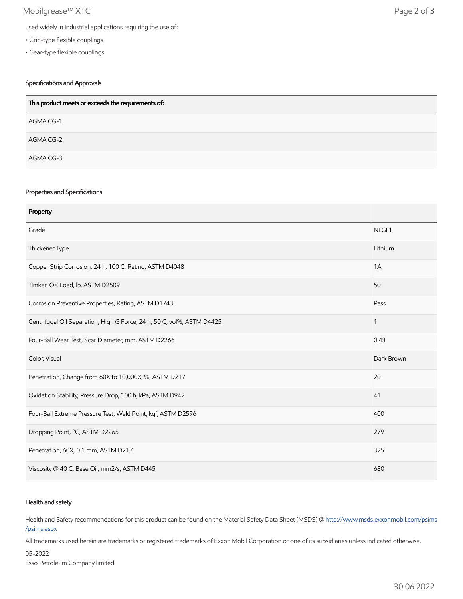## Mobilgrease™ XTC Page 2 of 3

- Grid-type flexible couplings
- Gear-type flexible couplings

## Specifications and Approvals

| This product meets or exceeds the requirements of: |
|----------------------------------------------------|
| AGMA CG-1                                          |
| AGMA CG-2                                          |
| AGMA CG-3                                          |

#### Properties and Specifications

| Property                                                               |                   |
|------------------------------------------------------------------------|-------------------|
| Grade                                                                  | NLGI <sub>1</sub> |
| Thickener Type                                                         | Lithium           |
| Copper Strip Corrosion, 24 h, 100 C, Rating, ASTM D4048                | 1A                |
| Timken OK Load, lb, ASTM D2509                                         | 50                |
| Corrosion Preventive Properties, Rating, ASTM D1743                    | Pass              |
| Centrifugal Oil Separation, High G Force, 24 h, 50 C, vol%, ASTM D4425 | $\mathbf{1}$      |
| Four-Ball Wear Test, Scar Diameter, mm, ASTM D2266                     | 0.43              |
| Color, Visual                                                          | Dark Brown        |
| Penetration, Change from 60X to 10,000X, %, ASTM D217                  | 20                |
| Oxidation Stability, Pressure Drop, 100 h, kPa, ASTM D942              | 41                |
| Four-Ball Extreme Pressure Test, Weld Point, kgf, ASTM D2596           | 400               |
| Dropping Point, °C, ASTM D2265                                         | 279               |
| Penetration, 60X, 0.1 mm, ASTM D217                                    | 325               |
| Viscosity @ 40 C, Base Oil, mm2/s, ASTM D445                           | 680               |

#### Health and safety

Health and Safety recommendations for this product can be found on the Material Safety Data Sheet (MSDS) @ [http://www.msds.exxonmobil.com/psims](http://www.msds.exxonmobil.com/psims/psims.aspx) /psims.aspx

All trademarks used herein are trademarks or registered trademarks of Exxon Mobil Corporation or one of its subsidiaries unless indicated otherwise.

05-2022

Esso Petroleum Company limited